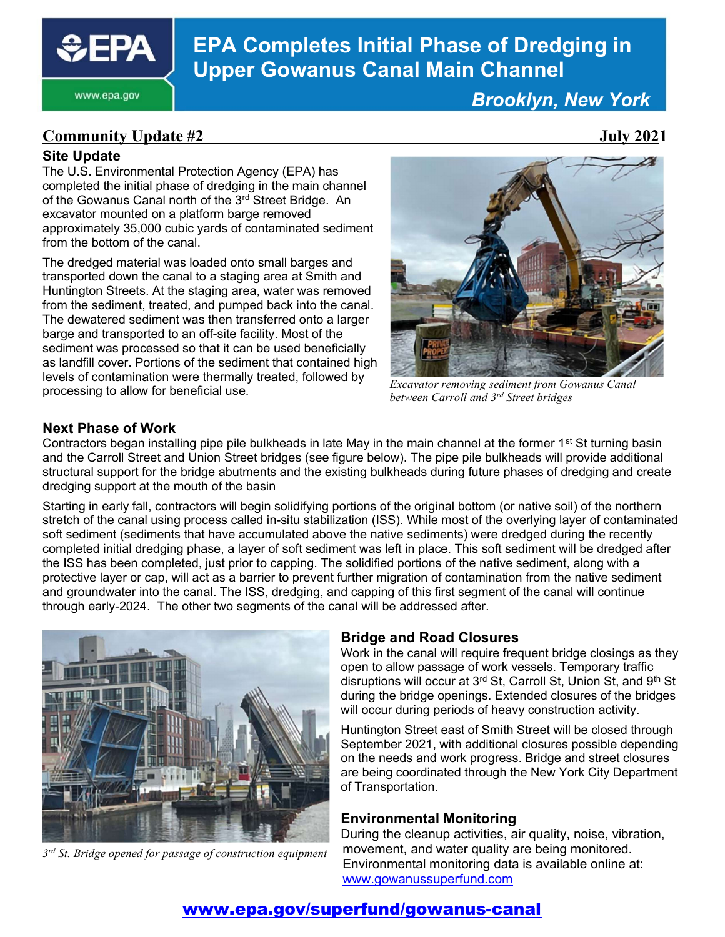

#### www.epa.gov

# EPA Completes Initial Phase of Dredging in Upper Gowanus Canal Main Channel

Brooklyn, New York

### Community Update #2 July 2021

#### Site Update

The U.S. Environmental Protection Agency (EPA) has completed the initial phase of dredging in the main channel of the Gowanus Canal north of the 3<sup>rd</sup> Street Bridge. An excavator mounted on a platform barge removed approximately 35,000 cubic yards of contaminated sediment from the bottom of the canal.

The dredged material was loaded onto small barges and transported down the canal to a staging area at Smith and Huntington Streets. At the staging area, water was removed from the sediment, treated, and pumped back into the canal. The dewatered sediment was then transferred onto a larger barge and transported to an off-site facility. Most of the sediment was processed so that it can be used beneficially as landfill cover. Portions of the sediment that contained high levels of contamination were thermally treated, followed by processing to allow for beneficial use.



Excavator removing sediment from Gowanus Canal between Carroll and 3<sup>rd</sup> Street bridges

#### Next Phase of Work

Contractors began installing pipe pile bulkheads in late May in the main channel at the former 1<sup>st</sup> St turning basin and the Carroll Street and Union Street bridges (see figure below). The pipe pile bulkheads will provide additional structural support for the bridge abutments and the existing bulkheads during future phases of dredging and create dredging support at the mouth of the basin

Starting in early fall, contractors will begin solidifying portions of the original bottom (or native soil) of the northern stretch of the canal using process called in-situ stabilization (ISS). While most of the overlying layer of contaminated soft sediment (sediments that have accumulated above the native sediments) were dredged during the recently completed initial dredging phase, a layer of soft sediment was left in place. This soft sediment will be dredged after the ISS has been completed, just prior to capping. The solidified portions of the native sediment, along with a protective layer or cap, will act as a barrier to prevent further migration of contamination from the native sediment and groundwater into the canal. The ISS, dredging, and capping of this first segment of the canal will continue through early-2024. The other two segments of the canal will be addressed after.



3<sup>rd</sup> St. Bridge opened for passage of construction equipment

#### Bridge and Road Closures

Work in the canal will require frequent bridge closings as they open to allow passage of work vessels. Temporary traffic disruptions will occur at 3<sup>rd</sup> St, Carroll St, Union St, and 9<sup>th</sup> St during the bridge openings. Extended closures of the bridges will occur during periods of heavy construction activity.

Huntington Street east of Smith Street will be closed through September 2021, with additional closures possible depending on the needs and work progress. Bridge and street closures are being coordinated through the New York City Department of Transportation.

#### Environmental Monitoring

During the cleanup activities, air quality, noise, vibration, movement, and water quality are being monitored. Environmental monitoring data is available online at: www.gowanussuperfund.com

### www.epa.gov/superfund/gowanus-canal